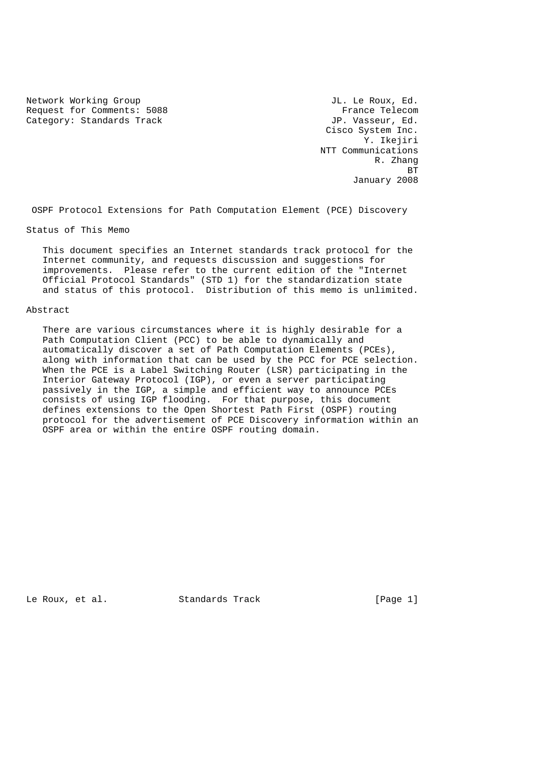Network Working Group and the set of the U.S. of the U.S. of the U.S. of the U.S. of the U.S. of the U.S. of the U.S. of the U.S. of the U.S. of the U.S. of the U.S. of the U.S. of the U.S. of the U.S. of the U.S. of the U Request for Comments: 5088 France Telecom Category: Standards Track General Category: Standards Track JP. Vasseur, Ed.

 Cisco System Inc. Y. Ikejiri NTT Communications R. Zhang is a strong of the state of the state of the state of the state of the state of the state of the state of the January 2008

OSPF Protocol Extensions for Path Computation Element (PCE) Discovery

Status of This Memo

 This document specifies an Internet standards track protocol for the Internet community, and requests discussion and suggestions for improvements. Please refer to the current edition of the "Internet Official Protocol Standards" (STD 1) for the standardization state and status of this protocol. Distribution of this memo is unlimited.

#### Abstract

 There are various circumstances where it is highly desirable for a Path Computation Client (PCC) to be able to dynamically and automatically discover a set of Path Computation Elements (PCEs), along with information that can be used by the PCC for PCE selection. When the PCE is a Label Switching Router (LSR) participating in the Interior Gateway Protocol (IGP), or even a server participating passively in the IGP, a simple and efficient way to announce PCEs consists of using IGP flooding. For that purpose, this document defines extensions to the Open Shortest Path First (OSPF) routing protocol for the advertisement of PCE Discovery information within an OSPF area or within the entire OSPF routing domain.

Le Roux, et al. Standards Track [Page 1]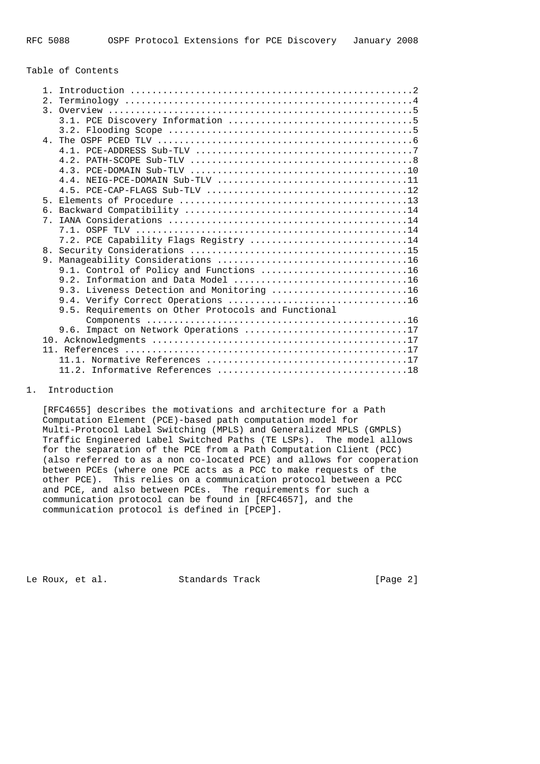## Table of Contents

| $\mathbf{1}$   |                                                     |
|----------------|-----------------------------------------------------|
| 2.             |                                                     |
|                |                                                     |
|                |                                                     |
|                |                                                     |
|                |                                                     |
|                |                                                     |
|                |                                                     |
|                |                                                     |
|                |                                                     |
|                |                                                     |
| 5 <sub>1</sub> |                                                     |
| б.             |                                                     |
| 7 <sub>1</sub> |                                                     |
|                |                                                     |
|                | 7.2. PCE Capability Flags Registry 14               |
| 8.             |                                                     |
| 9.             |                                                     |
|                | 9.1. Control of Policy and Functions 16             |
|                |                                                     |
|                | 9.3. Liveness Detection and Monitoring 16           |
|                |                                                     |
|                | 9.5. Requirements on Other Protocols and Functional |
|                |                                                     |
|                | 9.6. Impact on Network Operations 17                |
|                |                                                     |
|                |                                                     |
|                |                                                     |
|                |                                                     |
|                |                                                     |

## 1. Introduction

 [RFC4655] describes the motivations and architecture for a Path Computation Element (PCE)-based path computation model for Multi-Protocol Label Switching (MPLS) and Generalized MPLS (GMPLS) Traffic Engineered Label Switched Paths (TE LSPs). The model allows for the separation of the PCE from a Path Computation Client (PCC) (also referred to as a non co-located PCE) and allows for cooperation between PCEs (where one PCE acts as a PCC to make requests of the other PCE). This relies on a communication protocol between a PCC and PCE, and also between PCEs. The requirements for such a communication protocol can be found in [RFC4657], and the communication protocol is defined in [PCEP].

Le Roux, et al. Standards Track [Page 2]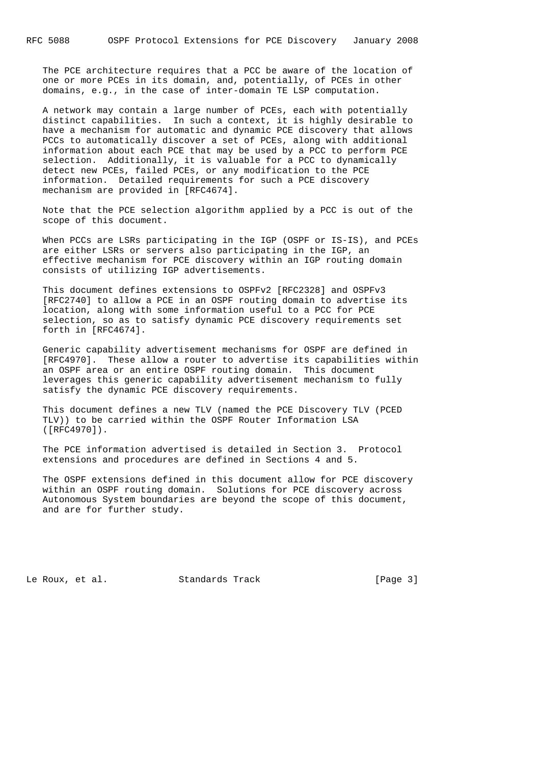The PCE architecture requires that a PCC be aware of the location of one or more PCEs in its domain, and, potentially, of PCEs in other domains, e.g., in the case of inter-domain TE LSP computation.

 A network may contain a large number of PCEs, each with potentially distinct capabilities. In such a context, it is highly desirable to have a mechanism for automatic and dynamic PCE discovery that allows PCCs to automatically discover a set of PCEs, along with additional information about each PCE that may be used by a PCC to perform PCE selection. Additionally, it is valuable for a PCC to dynamically detect new PCEs, failed PCEs, or any modification to the PCE information. Detailed requirements for such a PCE discovery mechanism are provided in [RFC4674].

 Note that the PCE selection algorithm applied by a PCC is out of the scope of this document.

 When PCCs are LSRs participating in the IGP (OSPF or IS-IS), and PCEs are either LSRs or servers also participating in the IGP, an effective mechanism for PCE discovery within an IGP routing domain consists of utilizing IGP advertisements.

 This document defines extensions to OSPFv2 [RFC2328] and OSPFv3 [RFC2740] to allow a PCE in an OSPF routing domain to advertise its location, along with some information useful to a PCC for PCE selection, so as to satisfy dynamic PCE discovery requirements set forth in [RFC4674].

 Generic capability advertisement mechanisms for OSPF are defined in [RFC4970]. These allow a router to advertise its capabilities within an OSPF area or an entire OSPF routing domain. This document leverages this generic capability advertisement mechanism to fully satisfy the dynamic PCE discovery requirements.

 This document defines a new TLV (named the PCE Discovery TLV (PCED TLV)) to be carried within the OSPF Router Information LSA ([RFC4970]).

 The PCE information advertised is detailed in Section 3. Protocol extensions and procedures are defined in Sections 4 and 5.

 The OSPF extensions defined in this document allow for PCE discovery within an OSPF routing domain. Solutions for PCE discovery across Autonomous System boundaries are beyond the scope of this document, and are for further study.

Le Roux, et al. Standards Track [Page 3]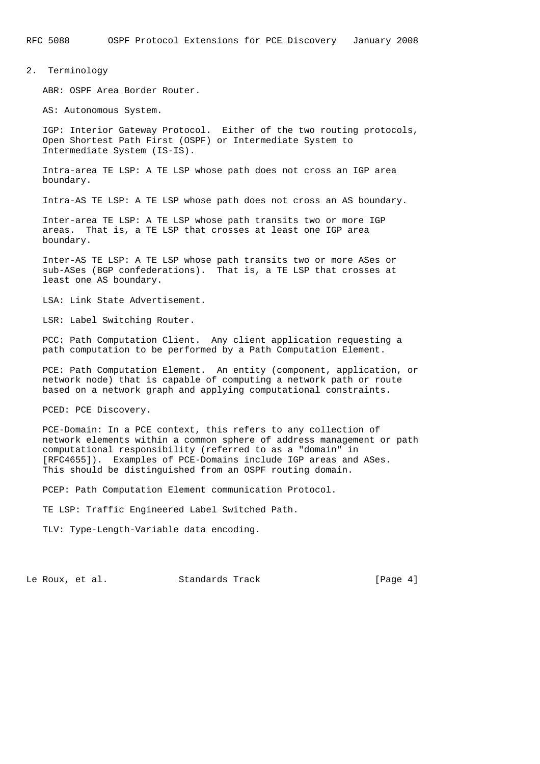#### 2. Terminology

ABR: OSPF Area Border Router.

AS: Autonomous System.

 IGP: Interior Gateway Protocol. Either of the two routing protocols, Open Shortest Path First (OSPF) or Intermediate System to Intermediate System (IS-IS).

 Intra-area TE LSP: A TE LSP whose path does not cross an IGP area boundary.

Intra-AS TE LSP: A TE LSP whose path does not cross an AS boundary.

 Inter-area TE LSP: A TE LSP whose path transits two or more IGP areas. That is, a TE LSP that crosses at least one IGP area boundary.

 Inter-AS TE LSP: A TE LSP whose path transits two or more ASes or sub-ASes (BGP confederations). That is, a TE LSP that crosses at least one AS boundary.

LSA: Link State Advertisement.

LSR: Label Switching Router.

 PCC: Path Computation Client. Any client application requesting a path computation to be performed by a Path Computation Element.

 PCE: Path Computation Element. An entity (component, application, or network node) that is capable of computing a network path or route based on a network graph and applying computational constraints.

PCED: PCE Discovery.

 PCE-Domain: In a PCE context, this refers to any collection of network elements within a common sphere of address management or path computational responsibility (referred to as a "domain" in [RFC4655]). Examples of PCE-Domains include IGP areas and ASes. This should be distinguished from an OSPF routing domain.

PCEP: Path Computation Element communication Protocol.

TE LSP: Traffic Engineered Label Switched Path.

TLV: Type-Length-Variable data encoding.

Le Roux, et al. Standards Track [Page 4]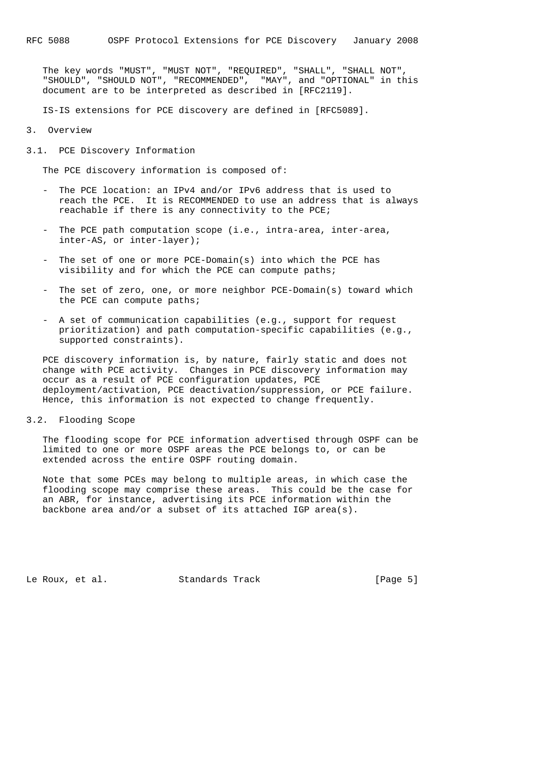The key words "MUST", "MUST NOT", "REQUIRED", "SHALL", "SHALL NOT", "SHOULD", "SHOULD NOT", "RECOMMENDED", "MAY", and "OPTIONAL" in this document are to be interpreted as described in [RFC2119].

IS-IS extensions for PCE discovery are defined in [RFC5089].

3. Overview

3.1. PCE Discovery Information

The PCE discovery information is composed of:

- The PCE location: an IPv4 and/or IPv6 address that is used to reach the PCE. It is RECOMMENDED to use an address that is always reachable if there is any connectivity to the PCE;
- The PCE path computation scope (i.e., intra-area, inter-area, inter-AS, or inter-layer);
- The set of one or more PCE-Domain(s) into which the PCE has visibility and for which the PCE can compute paths;
- The set of zero, one, or more neighbor PCE-Domain(s) toward which the PCE can compute paths;
- A set of communication capabilities (e.g., support for request prioritization) and path computation-specific capabilities (e.g., supported constraints).

 PCE discovery information is, by nature, fairly static and does not change with PCE activity. Changes in PCE discovery information may occur as a result of PCE configuration updates, PCE deployment/activation, PCE deactivation/suppression, or PCE failure. Hence, this information is not expected to change frequently.

3.2. Flooding Scope

 The flooding scope for PCE information advertised through OSPF can be limited to one or more OSPF areas the PCE belongs to, or can be extended across the entire OSPF routing domain.

 Note that some PCEs may belong to multiple areas, in which case the flooding scope may comprise these areas. This could be the case for an ABR, for instance, advertising its PCE information within the backbone area and/or a subset of its attached IGP area(s).

Le Roux, et al. Standards Track [Page 5]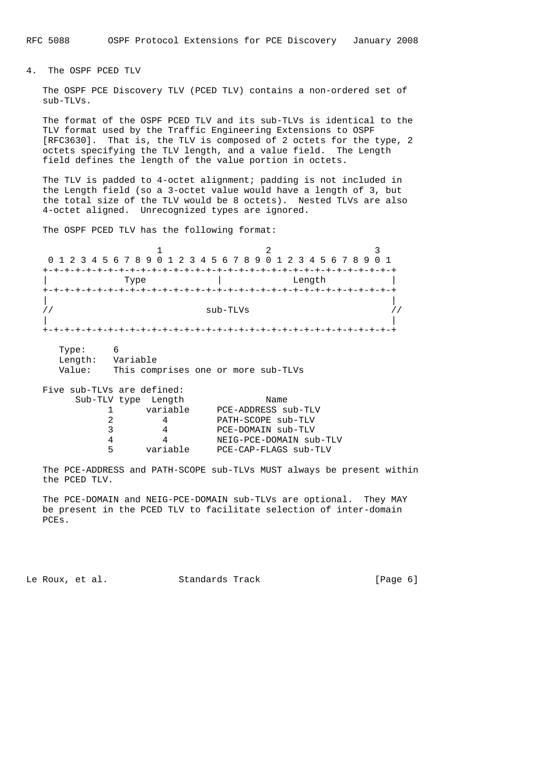4. The OSPF PCED TLV

 The OSPF PCE Discovery TLV (PCED TLV) contains a non-ordered set of sub-TLVs.

 The format of the OSPF PCED TLV and its sub-TLVs is identical to the TLV format used by the Traffic Engineering Extensions to OSPF [RFC3630]. That is, the TLV is composed of 2 octets for the type, 2 octets specifying the TLV length, and a value field. The Length field defines the length of the value portion in octets.

 The TLV is padded to 4-octet alignment; padding is not included in the Length field (so a 3-octet value would have a length of 3, but the total size of the TLV would be 8 octets). Nested TLVs are also 4-octet aligned. Unrecognized types are ignored.

The OSPF PCED TLV has the following format:

1 2 3 0 1 2 3 4 5 6 7 8 9 0 1 2 3 4 5 6 7 8 9 0 1 2 3 4 5 6 7 8 9 0 1 +-+-+-+-+-+-+-+-+-+-+-+-+-+-+-+-+-+-+-+-+-+-+-+-+-+-+-+-+-+-+-+-+ | Type | Length | +-+-+-+-+-+-+-+-+-+-+-+-+-+-+-+-+-+-+-+-+-+-+-+-+-+-+-+-+-+-+-+-+ | |  $\frac{1}{2}$ // sub-TLVs  $\frac{1}{2}$  sub-TLVs  $\frac{1}{2}$  | | +-+-+-+-+-+-+-+-+-+-+-+-+-+-+-+-+-+-+-+-+-+-+-+-+-+-+-+-+-+-+-+-+

 Type: 6 Length: Variable Value: This comprises one or more sub-TLVs

| Five sub-TLVs are defined: |                     |                         |
|----------------------------|---------------------|-------------------------|
|                            | Sub-TLV type Length | Name                    |
|                            | variable            | PCE-ADDRESS sub-TLV     |
|                            |                     | PATH-SCOPE sub-TLV      |
| 2                          |                     | PCE-DOMAIN sub-TLV      |
|                            |                     | NEIG-PCE-DOMAIN sub-TLV |
| ᄃ                          | variable            | PCE-CAP-FLAGS sub-TLV   |

 The PCE-ADDRESS and PATH-SCOPE sub-TLVs MUST always be present within the PCED TLV.

 The PCE-DOMAIN and NEIG-PCE-DOMAIN sub-TLVs are optional. They MAY be present in the PCED TLV to facilitate selection of inter-domain PCEs.

Le Roux, et al. Standards Track [Page 6]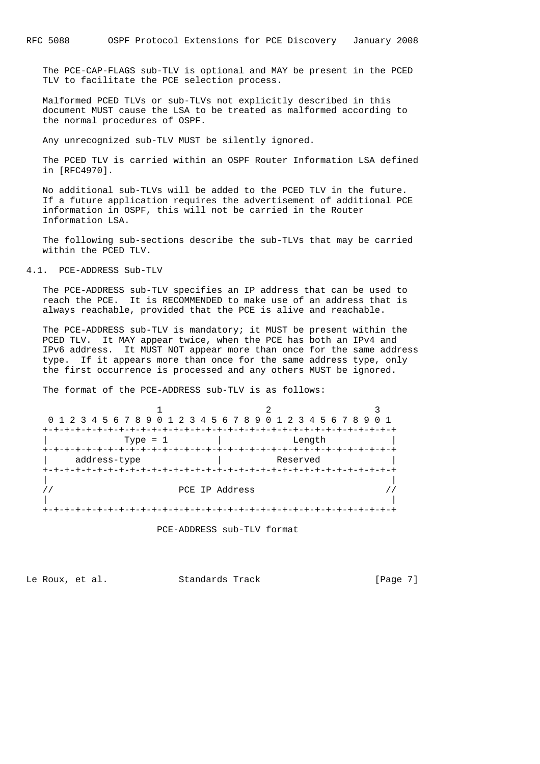The PCE-CAP-FLAGS sub-TLV is optional and MAY be present in the PCED TLV to facilitate the PCE selection process.

 Malformed PCED TLVs or sub-TLVs not explicitly described in this document MUST cause the LSA to be treated as malformed according to the normal procedures of OSPF.

Any unrecognized sub-TLV MUST be silently ignored.

 The PCED TLV is carried within an OSPF Router Information LSA defined in [RFC4970].

 No additional sub-TLVs will be added to the PCED TLV in the future. If a future application requires the advertisement of additional PCE information in OSPF, this will not be carried in the Router Information LSA.

 The following sub-sections describe the sub-TLVs that may be carried within the PCED TLV.

#### 4.1. PCE-ADDRESS Sub-TLV

 The PCE-ADDRESS sub-TLV specifies an IP address that can be used to reach the PCE. It is RECOMMENDED to make use of an address that is always reachable, provided that the PCE is alive and reachable.

 The PCE-ADDRESS sub-TLV is mandatory; it MUST be present within the PCED TLV. It MAY appear twice, when the PCE has both an IPv4 and IPv6 address. It MUST NOT appear more than once for the same address type. If it appears more than once for the same address type, only the first occurrence is processed and any others MUST be ignored.

The format of the PCE-ADDRESS sub-TLV is as follows:



PCE-ADDRESS sub-TLV format

Le Roux, et al. Standards Track [Page 7]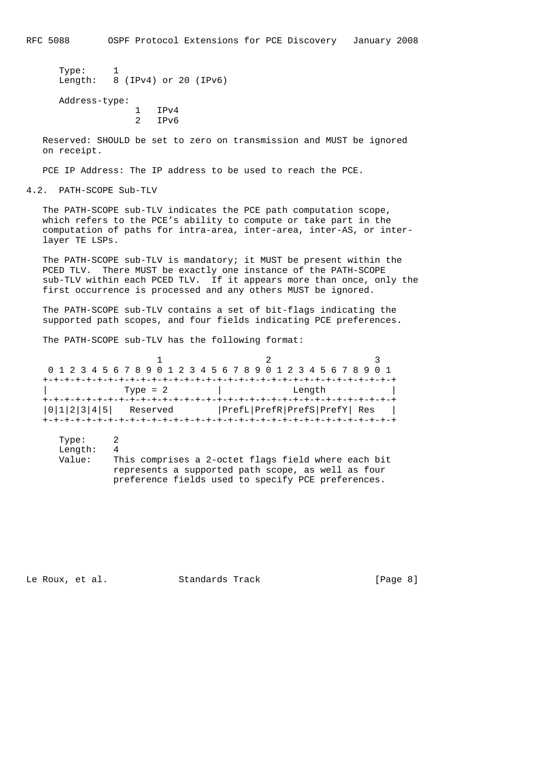RFC 5088 OSPF Protocol Extensions for PCE Discovery January 2008

```
 Type: 1
Length: 8 (IPv4) or 20 (IPv6)
Address-type:
             1 IPv4
             2 IPv6
```
 Reserved: SHOULD be set to zero on transmission and MUST be ignored on receipt.

PCE IP Address: The IP address to be used to reach the PCE.

4.2. PATH-SCOPE Sub-TLV

 The PATH-SCOPE sub-TLV indicates the PCE path computation scope, which refers to the PCE's ability to compute or take part in the computation of paths for intra-area, inter-area, inter-AS, or inter layer TE LSPs.

 The PATH-SCOPE sub-TLV is mandatory; it MUST be present within the PCED TLV. There MUST be exactly one instance of the PATH-SCOPE sub-TLV within each PCED TLV. If it appears more than once, only the first occurrence is processed and any others MUST be ignored.

 The PATH-SCOPE sub-TLV contains a set of bit-flags indicating the supported path scopes, and four fields indicating PCE preferences.

The PATH-SCOPE sub-TLV has the following format:

| 0 1 2 3 4 5 6 7 8 9 0 1 2 3 4 5 6 7 8 9 0 1 2 3 4 5 6 7 8 9 0 1 |  |  |            |  |  |  |  |  |  |  |                              |  |  |  |  |
|-----------------------------------------------------------------|--|--|------------|--|--|--|--|--|--|--|------------------------------|--|--|--|--|
|                                                                 |  |  |            |  |  |  |  |  |  |  |                              |  |  |  |  |
|                                                                 |  |  | Type = $2$ |  |  |  |  |  |  |  | Length                       |  |  |  |  |
|                                                                 |  |  |            |  |  |  |  |  |  |  |                              |  |  |  |  |
| 0 1 2 3 4 5                                                     |  |  | Reserved   |  |  |  |  |  |  |  | PrefL PrefR PrefS PrefY  Res |  |  |  |  |
|                                                                 |  |  |            |  |  |  |  |  |  |  |                              |  |  |  |  |

Type: 2 Length: 4 Value: This comprises a 2-octet flags field where each bit represents a supported path scope, as well as four preference fields used to specify PCE preferences.

Le Roux, et al. Standards Track [Page 8]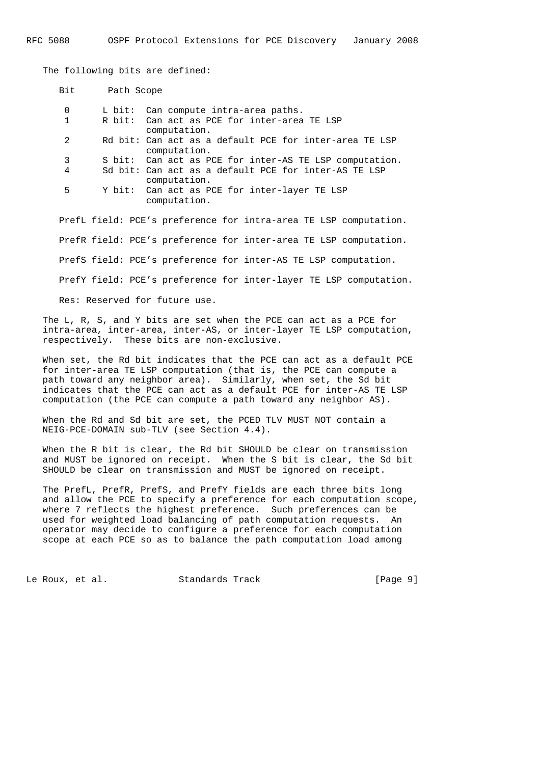The following bits are defined:

| Bit            | Path Scope |                                                                        |
|----------------|------------|------------------------------------------------------------------------|
| 0              |            | L bit: Can compute intra-area paths.                                   |
| $\mathbf{1}$   |            | R bit: Can act as PCE for inter-area TE LSP<br>computation.            |
| $\mathfrak{D}$ |            | Rd bit: Can act as a default PCE for inter-area TE LSP<br>computation. |
| 3              |            | S bit: Can act as PCE for inter-AS TE LSP computation.                 |
| 4              |            | Sd bit: Can act as a default PCE for inter-AS TE LSP                   |
|                |            | computation.                                                           |
| 5              |            | Y bit: Can act as PCE for inter-layer TE LSP                           |
|                |            | computation.                                                           |
|                |            | PrefL field: PCE's preference for intra-area TE LSP computation.       |
|                |            | PrefR field: PCE's preference for inter-area TE LSP computation.       |
|                |            | PrefS field: PCE's preference for inter-AS TE LSP computation.         |
|                |            | PrefY field: PCE's preference for inter-layer TE LSP computation.      |

Res: Reserved for future use.

 The L, R, S, and Y bits are set when the PCE can act as a PCE for intra-area, inter-area, inter-AS, or inter-layer TE LSP computation, respectively. These bits are non-exclusive.

 When set, the Rd bit indicates that the PCE can act as a default PCE for inter-area TE LSP computation (that is, the PCE can compute a path toward any neighbor area). Similarly, when set, the Sd bit indicates that the PCE can act as a default PCE for inter-AS TE LSP computation (the PCE can compute a path toward any neighbor AS).

 When the Rd and Sd bit are set, the PCED TLV MUST NOT contain a NEIG-PCE-DOMAIN sub-TLV (see Section 4.4).

 When the R bit is clear, the Rd bit SHOULD be clear on transmission and MUST be ignored on receipt. When the S bit is clear, the Sd bit SHOULD be clear on transmission and MUST be ignored on receipt.

 The PrefL, PrefR, PrefS, and PrefY fields are each three bits long and allow the PCE to specify a preference for each computation scope, where 7 reflects the highest preference. Such preferences can be used for weighted load balancing of path computation requests. An operator may decide to configure a preference for each computation scope at each PCE so as to balance the path computation load among

Le Roux, et al. Standards Track [Page 9]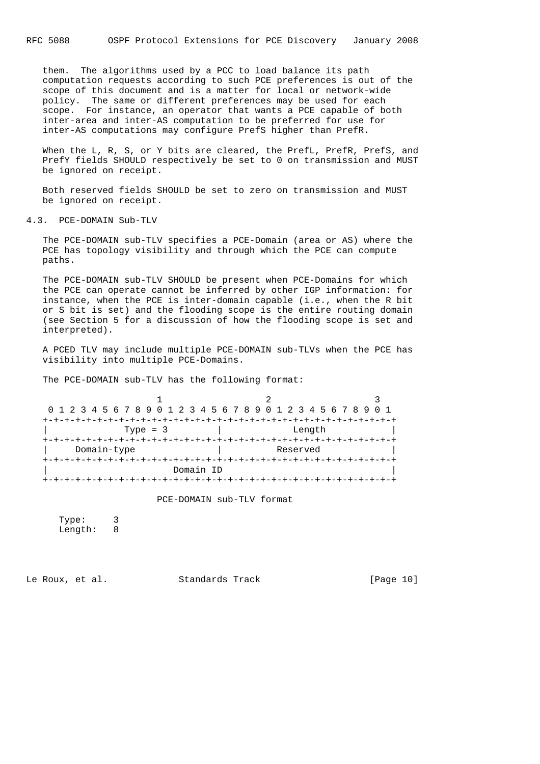them. The algorithms used by a PCC to load balance its path computation requests according to such PCE preferences is out of the scope of this document and is a matter for local or network-wide policy. The same or different preferences may be used for each scope. For instance, an operator that wants a PCE capable of both inter-area and inter-AS computation to be preferred for use for inter-AS computations may configure PrefS higher than PrefR.

When the L, R, S, or Y bits are cleared, the PrefL, PrefR, PrefS, and PrefY fields SHOULD respectively be set to 0 on transmission and MUST be ignored on receipt.

 Both reserved fields SHOULD be set to zero on transmission and MUST be ignored on receipt.

4.3. PCE-DOMAIN Sub-TLV

 The PCE-DOMAIN sub-TLV specifies a PCE-Domain (area or AS) where the PCE has topology visibility and through which the PCE can compute paths.

 The PCE-DOMAIN sub-TLV SHOULD be present when PCE-Domains for which the PCE can operate cannot be inferred by other IGP information: for instance, when the PCE is inter-domain capable (i.e., when the R bit or S bit is set) and the flooding scope is the entire routing domain (see Section 5 for a discussion of how the flooding scope is set and interpreted).

 A PCED TLV may include multiple PCE-DOMAIN sub-TLVs when the PCE has visibility into multiple PCE-Domains.

The PCE-DOMAIN sub-TLV has the following format:

| 0 1 2 3 4 5 6 7 8 9 0 1 2 3 4 5 6 7 8 9 0 1 2 3 4 5 6 7 8 9 0 1 |           |                    |  |  |  |          |        |  |  |  |  |  |  |  |
|-----------------------------------------------------------------|-----------|--------------------|--|--|--|----------|--------|--|--|--|--|--|--|--|
|                                                                 |           |                    |  |  |  |          |        |  |  |  |  |  |  |  |
| Type = $3$                                                      |           |                    |  |  |  |          | Length |  |  |  |  |  |  |  |
|                                                                 |           | -+-+-+-+-+-+-+-+-+ |  |  |  |          |        |  |  |  |  |  |  |  |
| Domain-type                                                     |           |                    |  |  |  | Reserved |        |  |  |  |  |  |  |  |
|                                                                 |           |                    |  |  |  |          |        |  |  |  |  |  |  |  |
|                                                                 | Domain ID |                    |  |  |  |          |        |  |  |  |  |  |  |  |
|                                                                 |           |                    |  |  |  |          |        |  |  |  |  |  |  |  |

PCE-DOMAIN sub-TLV format

 Type: 3 Length: 8

Le Roux, et al. Standards Track [Page 10]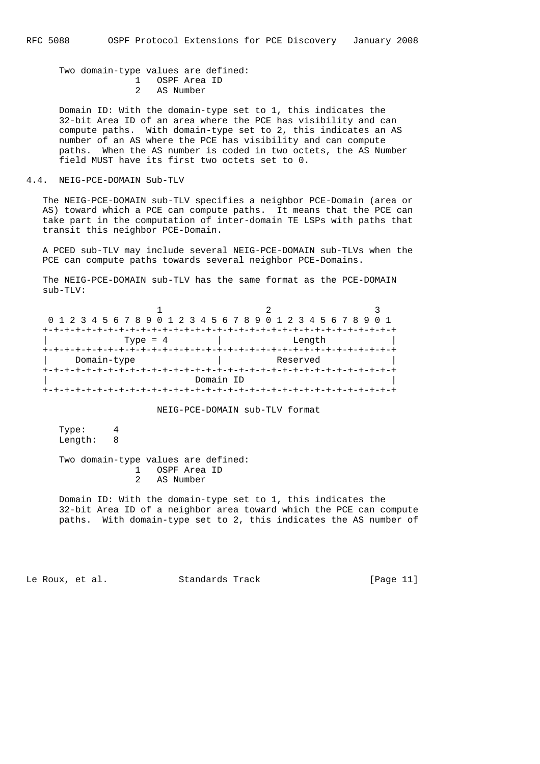Two domain-type values are defined: 1 OSPF Area ID 2 AS Number

 Domain ID: With the domain-type set to 1, this indicates the 32-bit Area ID of an area where the PCE has visibility and can compute paths. With domain-type set to 2, this indicates an AS number of an AS where the PCE has visibility and can compute paths. When the AS number is coded in two octets, the AS Number field MUST have its first two octets set to 0.

## 4.4. NEIG-PCE-DOMAIN Sub-TLV

 The NEIG-PCE-DOMAIN sub-TLV specifies a neighbor PCE-Domain (area or AS) toward which a PCE can compute paths. It means that the PCE can take part in the computation of inter-domain TE LSPs with paths that transit this neighbor PCE-Domain.

 A PCED sub-TLV may include several NEIG-PCE-DOMAIN sub-TLVs when the PCE can compute paths towards several neighbor PCE-Domains.

 The NEIG-PCE-DOMAIN sub-TLV has the same format as the PCE-DOMAIN sub-TLV:

|             | 0 1 2 3 4 5 6 7 8 9 0 1 2 3 4 5 6 7 8 9 0 1 2 3 4 5 6 7 8 9 0 1 |  |  |  |  |  |
|-------------|-----------------------------------------------------------------|--|--|--|--|--|
|             |                                                                 |  |  |  |  |  |
| Type = $4$  | Length                                                          |  |  |  |  |  |
|             | -+-+-+-+-+-+-+-+-+-+-+-+                                        |  |  |  |  |  |
| Domain-type | Reserved                                                        |  |  |  |  |  |
|             |                                                                 |  |  |  |  |  |
|             | Domain ID                                                       |  |  |  |  |  |
|             |                                                                 |  |  |  |  |  |

NEIG-PCE-DOMAIN sub-TLV format

 Type: 4 Length: 8

 Two domain-type values are defined: 1 OSPF Area ID 2 AS Number

 Domain ID: With the domain-type set to 1, this indicates the 32-bit Area ID of a neighbor area toward which the PCE can compute paths. With domain-type set to 2, this indicates the AS number of

Le Roux, et al. Standards Track [Page 11]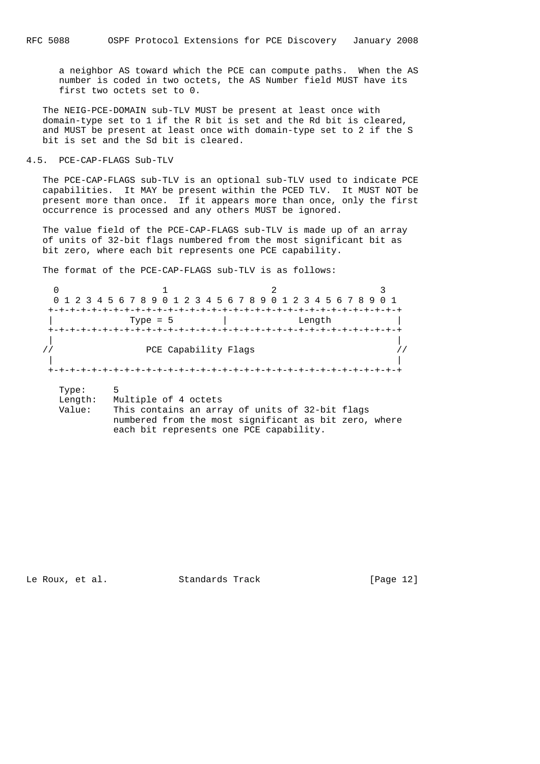a neighbor AS toward which the PCE can compute paths. When the AS number is coded in two octets, the AS Number field MUST have its first two octets set to 0.

 The NEIG-PCE-DOMAIN sub-TLV MUST be present at least once with domain-type set to 1 if the R bit is set and the Rd bit is cleared, and MUST be present at least once with domain-type set to 2 if the S bit is set and the Sd bit is cleared.

## 4.5. PCE-CAP-FLAGS Sub-TLV

 The PCE-CAP-FLAGS sub-TLV is an optional sub-TLV used to indicate PCE capabilities. It MAY be present within the PCED TLV. It MUST NOT be present more than once. If it appears more than once, only the first occurrence is processed and any others MUST be ignored.

 The value field of the PCE-CAP-FLAGS sub-TLV is made up of an array of units of 32-bit flags numbered from the most significant bit as bit zero, where each bit represents one PCE capability.

The format of the PCE-CAP-FLAGS sub-TLV is as follows:

|         | 0 1 2 3 4 5 6 7 8 9 0 1 2 3 4 5 6 7 8 9 0 1 2 3 4 5 6 7 8 9 0 1 |        |  |
|---------|-----------------------------------------------------------------|--------|--|
|         |                                                                 |        |  |
|         | Type = $5$                                                      | Length |  |
|         |                                                                 |        |  |
|         |                                                                 |        |  |
|         | PCE Capability Flags                                            |        |  |
|         |                                                                 |        |  |
|         | +-+-+-+-+-+-+-+-+-+-+-+-+-+-+-+-+-                              |        |  |
| Type:   | 5                                                               |        |  |
| Length: | Multiple of 4 octets                                            |        |  |
| Value:  | This contains an array of units of 32-bit flags                 |        |  |

each bit represents one PCE capability.

numbered from the most significant as bit zero, where

Le Roux, et al. Standards Track [Page 12]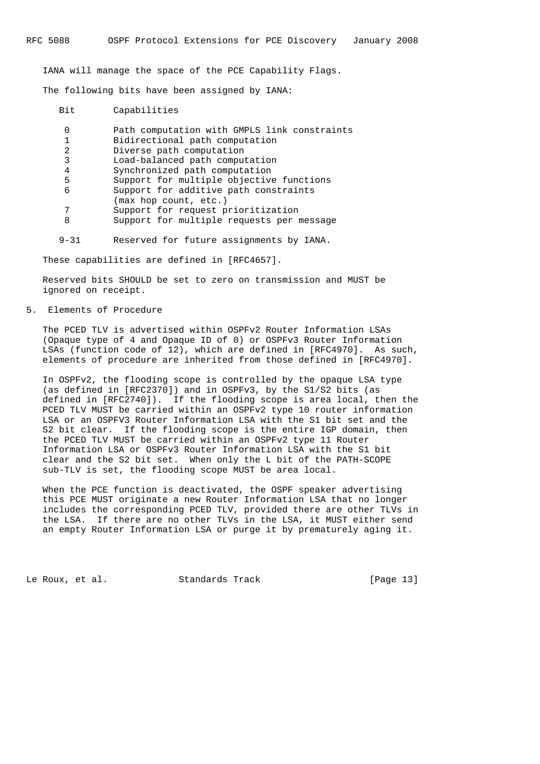IANA will manage the space of the PCE Capability Flags.

The following bits have been assigned by IANA:

| Bit | Capabilities                                                   |
|-----|----------------------------------------------------------------|
| 0   | Path computation with GMPLS link constraints                   |
| 1   | Bidirectional path computation                                 |
| 2   | Diverse path computation                                       |
| 3   | Load-balanced path computation                                 |
| 4   | Synchronized path computation                                  |
| 5   | Support for multiple objective functions                       |
| 6   | Support for additive path constraints<br>(max hop count, etc.) |
| 7   | Support for request prioritization                             |
| 8   | Support for multiple requests per message                      |

9-31 Reserved for future assignments by IANA.

These capabilities are defined in [RFC4657].

 Reserved bits SHOULD be set to zero on transmission and MUST be ignored on receipt.

5. Elements of Procedure

 The PCED TLV is advertised within OSPFv2 Router Information LSAs (Opaque type of 4 and Opaque ID of 0) or OSPFv3 Router Information LSAs (function code of 12), which are defined in [RFC4970]. As such, elements of procedure are inherited from those defined in [RFC4970].

 In OSPFv2, the flooding scope is controlled by the opaque LSA type (as defined in [RFC2370]) and in OSPFv3, by the S1/S2 bits (as defined in [RFC2740]). If the flooding scope is area local, then the PCED TLV MUST be carried within an OSPFv2 type 10 router information LSA or an OSPFV3 Router Information LSA with the S1 bit set and the S2 bit clear. If the flooding scope is the entire IGP domain, then the PCED TLV MUST be carried within an OSPFv2 type 11 Router Information LSA or OSPFv3 Router Information LSA with the S1 bit clear and the S2 bit set. When only the L bit of the PATH-SCOPE sub-TLV is set, the flooding scope MUST be area local.

 When the PCE function is deactivated, the OSPF speaker advertising this PCE MUST originate a new Router Information LSA that no longer includes the corresponding PCED TLV, provided there are other TLVs in the LSA. If there are no other TLVs in the LSA, it MUST either send an empty Router Information LSA or purge it by prematurely aging it.

Le Roux, et al. Standards Track [Page 13]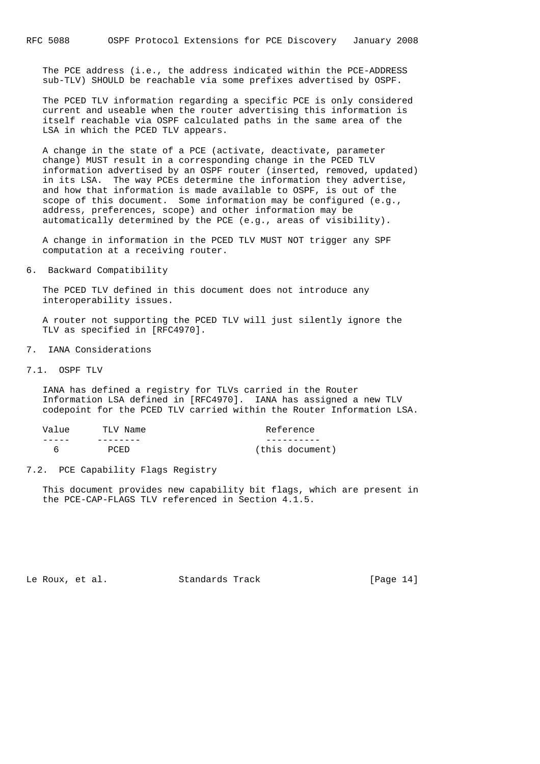The PCE address (i.e., the address indicated within the PCE-ADDRESS sub-TLV) SHOULD be reachable via some prefixes advertised by OSPF.

 The PCED TLV information regarding a specific PCE is only considered current and useable when the router advertising this information is itself reachable via OSPF calculated paths in the same area of the LSA in which the PCED TLV appears.

 A change in the state of a PCE (activate, deactivate, parameter change) MUST result in a corresponding change in the PCED TLV information advertised by an OSPF router (inserted, removed, updated) in its LSA. The way PCEs determine the information they advertise, and how that information is made available to OSPF, is out of the scope of this document. Some information may be configured (e.g., address, preferences, scope) and other information may be automatically determined by the PCE (e.g., areas of visibility).

 A change in information in the PCED TLV MUST NOT trigger any SPF computation at a receiving router.

6. Backward Compatibility

 The PCED TLV defined in this document does not introduce any interoperability issues.

 A router not supporting the PCED TLV will just silently ignore the TLV as specified in [RFC4970].

- 7. IANA Considerations
- 7.1. OSPF TLV

 IANA has defined a registry for TLVs carried in the Router Information LSA defined in [RFC4970]. IANA has assigned a new TLV codepoint for the PCED TLV carried within the Router Information LSA.

| Value | TLV Name | Reference       |
|-------|----------|-----------------|
|       |          |                 |
| 6     | PCED     | (this document) |

## 7.2. PCE Capability Flags Registry

 This document provides new capability bit flags, which are present in the PCE-CAP-FLAGS TLV referenced in Section 4.1.5.

Le Roux, et al. Standards Track [Page 14]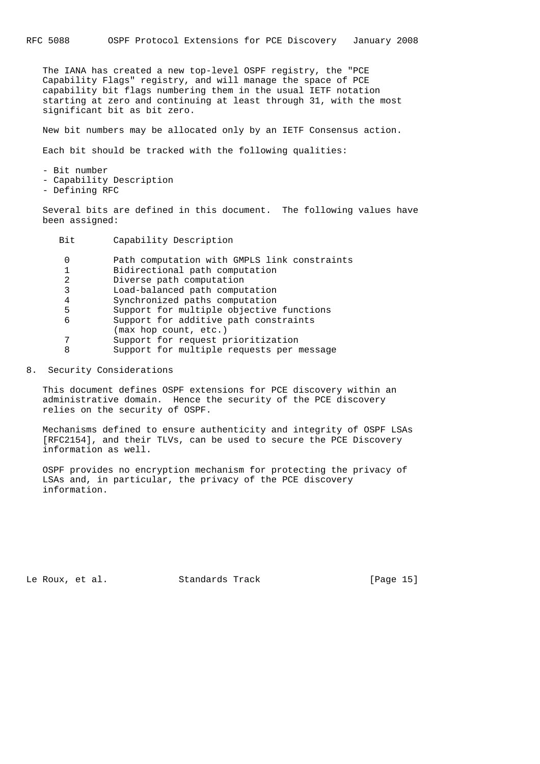The IANA has created a new top-level OSPF registry, the "PCE Capability Flags" registry, and will manage the space of PCE capability bit flags numbering them in the usual IETF notation starting at zero and continuing at least through 31, with the most significant bit as bit zero.

New bit numbers may be allocated only by an IETF Consensus action.

Each bit should be tracked with the following qualities:

 - Bit number - Capability Description

- Defining RFC

 Several bits are defined in this document. The following values have been assigned:

Bit Capability Description

|   | Path computation with GMPLS link constraints |
|---|----------------------------------------------|
|   | Bidirectional path computation               |
| 2 | Diverse path computation                     |
| 3 | Load-balanced path computation               |
| 4 | Synchronized paths computation               |
| 5 | Support for multiple objective functions     |
| 6 | Support for additive path constraints        |
|   | (max hop count, etc.)                        |
|   | Support for request prioritization           |
| 8 | Support for multiple requests per message    |
|   |                                              |

8. Security Considerations

 This document defines OSPF extensions for PCE discovery within an administrative domain. Hence the security of the PCE discovery relies on the security of OSPF.

 Mechanisms defined to ensure authenticity and integrity of OSPF LSAs [RFC2154], and their TLVs, can be used to secure the PCE Discovery information as well.

 OSPF provides no encryption mechanism for protecting the privacy of LSAs and, in particular, the privacy of the PCE discovery information.

Le Roux, et al. Standards Track [Page 15]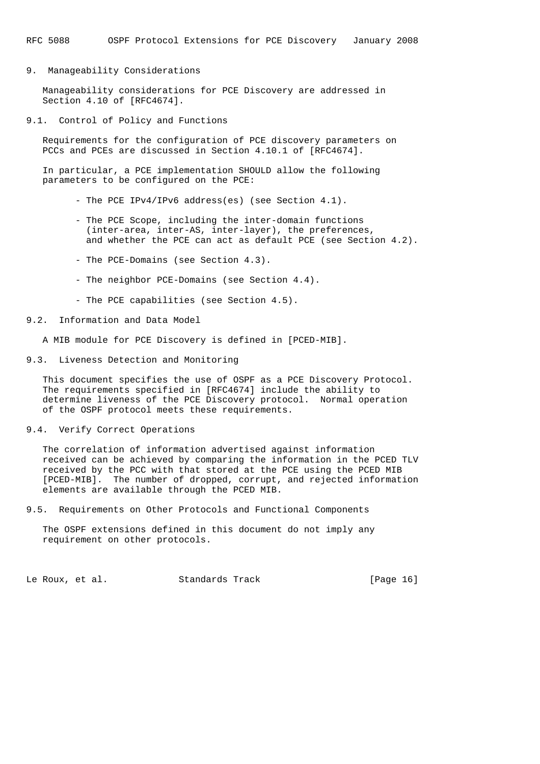9. Manageability Considerations

 Manageability considerations for PCE Discovery are addressed in Section 4.10 of [RFC4674].

9.1. Control of Policy and Functions

 Requirements for the configuration of PCE discovery parameters on PCCs and PCEs are discussed in Section 4.10.1 of [RFC4674].

 In particular, a PCE implementation SHOULD allow the following parameters to be configured on the PCE:

- The PCE IPv4/IPv6 address(es) (see Section 4.1).
- The PCE Scope, including the inter-domain functions (inter-area, inter-AS, inter-layer), the preferences, and whether the PCE can act as default PCE (see Section 4.2).
- The PCE-Domains (see Section 4.3).
- The neighbor PCE-Domains (see Section 4.4).
- The PCE capabilities (see Section 4.5).

9.2. Information and Data Model

A MIB module for PCE Discovery is defined in [PCED-MIB].

9.3. Liveness Detection and Monitoring

 This document specifies the use of OSPF as a PCE Discovery Protocol. The requirements specified in [RFC4674] include the ability to determine liveness of the PCE Discovery protocol. Normal operation of the OSPF protocol meets these requirements.

#### 9.4. Verify Correct Operations

 The correlation of information advertised against information received can be achieved by comparing the information in the PCED TLV received by the PCC with that stored at the PCE using the PCED MIB [PCED-MIB]. The number of dropped, corrupt, and rejected information elements are available through the PCED MIB.

9.5. Requirements on Other Protocols and Functional Components

 The OSPF extensions defined in this document do not imply any requirement on other protocols.

Le Roux, et al. Standards Track [Page 16]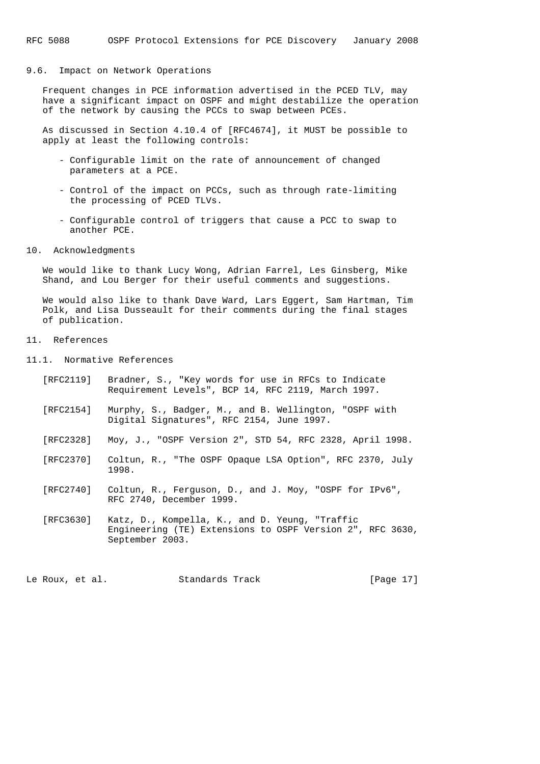#### 9.6. Impact on Network Operations

 Frequent changes in PCE information advertised in the PCED TLV, may have a significant impact on OSPF and might destabilize the operation of the network by causing the PCCs to swap between PCEs.

 As discussed in Section 4.10.4 of [RFC4674], it MUST be possible to apply at least the following controls:

- Configurable limit on the rate of announcement of changed parameters at a PCE.
- Control of the impact on PCCs, such as through rate-limiting the processing of PCED TLVs.
- Configurable control of triggers that cause a PCC to swap to another PCE.
- 10. Acknowledgments

 We would like to thank Lucy Wong, Adrian Farrel, Les Ginsberg, Mike Shand, and Lou Berger for their useful comments and suggestions.

 We would also like to thank Dave Ward, Lars Eggert, Sam Hartman, Tim Polk, and Lisa Dusseault for their comments during the final stages of publication.

# 11. References

- 11.1. Normative References
	- [RFC2119] Bradner, S., "Key words for use in RFCs to Indicate Requirement Levels", BCP 14, RFC 2119, March 1997.
	- [RFC2154] Murphy, S., Badger, M., and B. Wellington, "OSPF with Digital Signatures", RFC 2154, June 1997.
	- [RFC2328] Moy, J., "OSPF Version 2", STD 54, RFC 2328, April 1998.
	- [RFC2370] Coltun, R., "The OSPF Opaque LSA Option", RFC 2370, July 1998.
	- [RFC2740] Coltun, R., Ferguson, D., and J. Moy, "OSPF for IPv6", RFC 2740, December 1999.
	- [RFC3630] Katz, D., Kompella, K., and D. Yeung, "Traffic Engineering (TE) Extensions to OSPF Version 2", RFC 3630, September 2003.

Le Roux, et al. Standards Track [Page 17]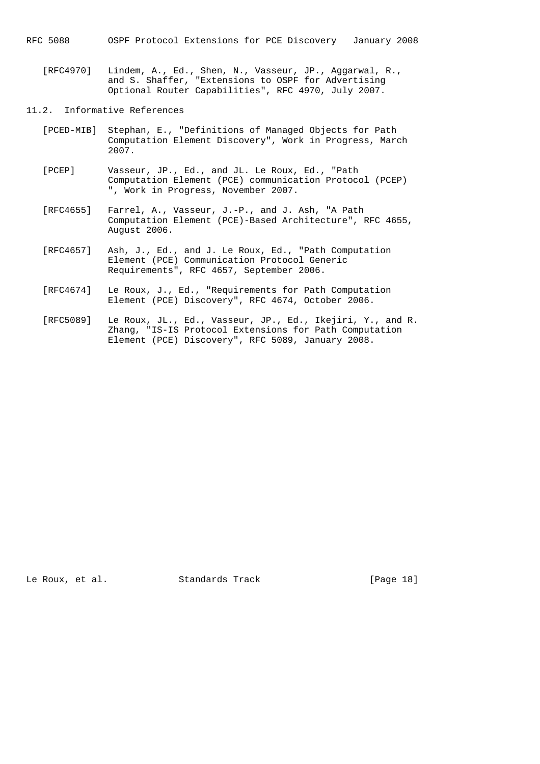RFC 5088 OSPF Protocol Extensions for PCE Discovery January 2008

 [RFC4970] Lindem, A., Ed., Shen, N., Vasseur, JP., Aggarwal, R., and S. Shaffer, "Extensions to OSPF for Advertising Optional Router Capabilities", RFC 4970, July 2007.

# 11.2. Informative References

- [PCED-MIB] Stephan, E., "Definitions of Managed Objects for Path Computation Element Discovery", Work in Progress, March 2007.
- [PCEP] Vasseur, JP., Ed., and JL. Le Roux, Ed., "Path Computation Element (PCE) communication Protocol (PCEP) ", Work in Progress, November 2007.
- [RFC4655] Farrel, A., Vasseur, J.-P., and J. Ash, "A Path Computation Element (PCE)-Based Architecture", RFC 4655, August 2006.
- [RFC4657] Ash, J., Ed., and J. Le Roux, Ed., "Path Computation Element (PCE) Communication Protocol Generic Requirements", RFC 4657, September 2006.
- [RFC4674] Le Roux, J., Ed., "Requirements for Path Computation Element (PCE) Discovery", RFC 4674, October 2006.
- [RFC5089] Le Roux, JL., Ed., Vasseur, JP., Ed., Ikejiri, Y., and R. Zhang, "IS-IS Protocol Extensions for Path Computation Element (PCE) Discovery", RFC 5089, January 2008.

Le Roux, et al. Standards Track [Page 18]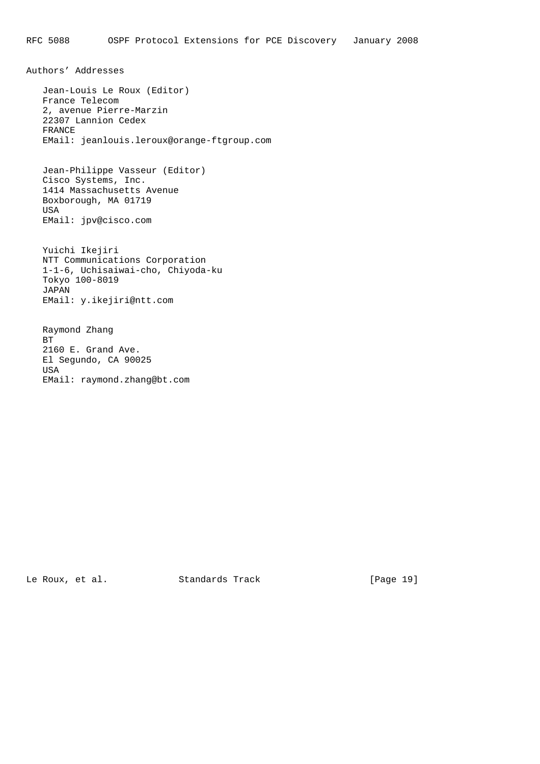Authors' Addresses Jean-Louis Le Roux (Editor) France Telecom 2, avenue Pierre-Marzin 22307 Lannion Cedex FRANCE EMail: jeanlouis.leroux@orange-ftgroup.com Jean-Philippe Vasseur (Editor) Cisco Systems, Inc. 1414 Massachusetts Avenue Boxborough, MA 01719 USA EMail: jpv@cisco.com Yuichi Ikejiri NTT Communications Corporation 1-1-6, Uchisaiwai-cho, Chiyoda-ku Tokyo 100-8019 JAPAN EMail: y.ikejiri@ntt.com Raymond Zhang

 BT 2160 E. Grand Ave. El Segundo, CA 90025 USA EMail: raymond.zhang@bt.com

Le Roux, et al. Standards Track [Page 19]